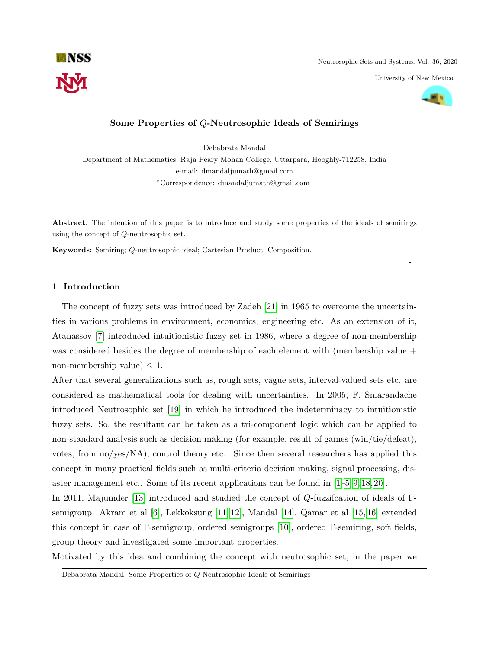

University of New Mexico



## Some Properties of Q-Neutrosophic Ideals of Semirings

Debabrata Mandal

Department of Mathematics, Raja Peary Mohan College, Uttarpara, Hooghly-712258, India e-mail: dmandaljumath@gmail.com <sup>∗</sup>Correspondence: dmandaljumath@gmail.com

Abstract. The intention of this paper is to introduce and study some properties of the ideals of semirings using the concept of Q-neutrosophic set.

—————————————————————————————————————————-

Keywords: Semiring; Q-neutrosophic ideal; Cartesian Product; Composition.

## 1. Introduction

The concept of fuzzy sets was introduced by Zadeh [\[21\]](#page-9-0) in 1965 to overcome the uncertainties in various problems in environment, economics, engineering etc. As an extension of it, Atanassov [\[7\]](#page-8-0) introduced intuitionistic fuzzy set in 1986, where a degree of non-membership was considered besides the degree of membership of each element with (membership value + non-membership value)  $\leq 1$ .

After that several generalizations such as, rough sets, vague sets, interval-valued sets etc. are considered as mathematical tools for dealing with uncertainties. In 2005, F. Smarandache introduced Neutrosophic set [\[19\]](#page-9-1) in which he introduced the indeterminacy to intuitionistic fuzzy sets. So, the resultant can be taken as a tri-component logic which can be applied to non-standard analysis such as decision making (for example, result of games (win/tie/defeat), votes, from no/yes/NA), control theory etc.. Since then several researchers has applied this concept in many practical fields such as multi-criteria decision making, signal processing, disaster management etc.. Some of its recent applications can be found in [\[1–](#page-8-1)[5,](#page-8-2) [9,](#page-8-3) [18,](#page-9-2) [20\]](#page-9-3).

In 2011, Majumder [\[13\]](#page-8-4) introduced and studied the concept of Q-fuzzifcation of ideals of Γsemigroup. Akram et al [\[6\]](#page-8-5), Lekkoksung [\[11,](#page-8-6) [12\]](#page-8-7), Mandal [\[14\]](#page-8-8), Qamar et al [\[15,](#page-8-9) [16\]](#page-8-10) extended this concept in case of Γ-semigroup, ordered semigroups [\[10\]](#page-8-11), ordered Γ-semiring, soft fields, group theory and investigated some important properties.

Motivated by this idea and combining the concept with neutrosophic set, in the paper we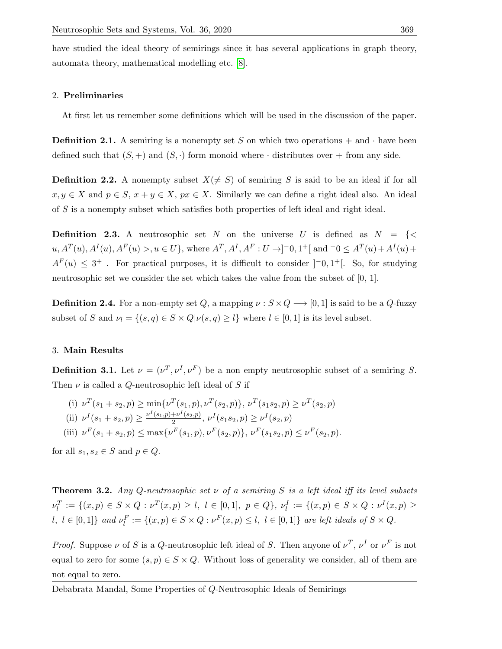have studied the ideal theory of semirings since it has several applications in graph theory, automata theory, mathematical modelling etc. [\[8\]](#page-8-12).

# 2. Preliminaries

At first let us remember some definitions which will be used in the discussion of the paper.

**Definition 2.1.** A semiring is a nonempty set S on which two operations  $+$  and  $\cdot$  have been defined such that  $(S,+)$  and  $(S, \cdot)$  form monoid where  $\cdot$  distributes over  $+$  from any side.

**Definition 2.2.** A nonempty subset  $X(\neq S)$  of semiring S is said to be an ideal if for all  $x, y \in X$  and  $p \in S$ ,  $x + y \in X$ ,  $px \in X$ . Similarly we can define a right ideal also. An ideal of S is a nonempty subset which satisfies both properties of left ideal and right ideal.

**Definition 2.3.** A neutrosophic set N on the universe U is defined as  $N = \{ \leq \}$  $u, A^T(u), A^I(u), A^F(u) > u \in U$ , where  $A^T, A^I, A^F : U \to ]-0, 1^+[$  and  $-0 \le A^T(u) + A^I(u) +$  $A^F(u) \leq 3^+$ . For practical purposes, it is difficult to consider  $[-0,1^+]$ . So, for studying neutrosophic set we consider the set which takes the value from the subset of [0, 1].

**Definition 2.4.** For a non-empty set Q, a mapping  $\nu : S \times Q \longrightarrow [0, 1]$  is said to be a Q-fuzzy subset of S and  $\nu_l = \{(s, q) \in S \times Q | \nu(s, q) \geq l\}$  where  $l \in [0, 1]$  is its level subset.

## 3. Main Results

**Definition 3.1.** Let  $\nu = (\nu^T, \nu^I, \nu^F)$  be a non empty neutrosophic subset of a semiring S. Then  $\nu$  is called a Q-neutrosophic left ideal of S if

(i) 
$$
\nu^T(s_1 + s_2, p) \ge \min{\{\nu^T(s_1, p), \nu^T(s_2, p)\}, \nu^T(s_1 s_2, p) \ge \nu^T(s_2, p) \}}
$$
  
\n(ii)  $\nu^I(s_1 + s_2, p) \ge \frac{\nu^I(s_1, p) + \nu^I(s_2, p)}{2}, \nu^I(s_1 s_2, p) \ge \nu^I(s_2, p)$   
\n(iii)  $\nu^F(s_1 + s_2, p) \le \max{\{\nu^F(s_1, p), \nu^F(s_2, p)\}, \nu^F(s_1 s_2, p) \le \nu^F(s_2, p) \}}$ 

for all  $s_1, s_2 \in S$  and  $p \in Q$ .

**Theorem 3.2.** Any Q-neutrosophic set  $\nu$  of a semiring S is a left ideal iff its level subsets  $\nu_l^T := \{(x, p) \in S \times Q : \nu^T(x, p) \ge l, l \in [0, 1], p \in Q\}, \nu_l^I := \{(x, p) \in S \times Q : \nu^I(x, p) \ge l\}$  $l, l \in [0,1]$ } and  $\nu_l^F := \{(x,p) \in S \times Q : \nu^F(x,p) \leq l, l \in [0,1]\}$  are left ideals of  $S \times Q$ .

*Proof.* Suppose  $\nu$  of S is a Q-neutrosophic left ideal of S. Then anyone of  $\nu^T$ ,  $\nu^I$  or  $\nu^F$  is not equal to zero for some  $(s, p) \in S \times Q$ . Without loss of generality we consider, all of them are not equal to zero.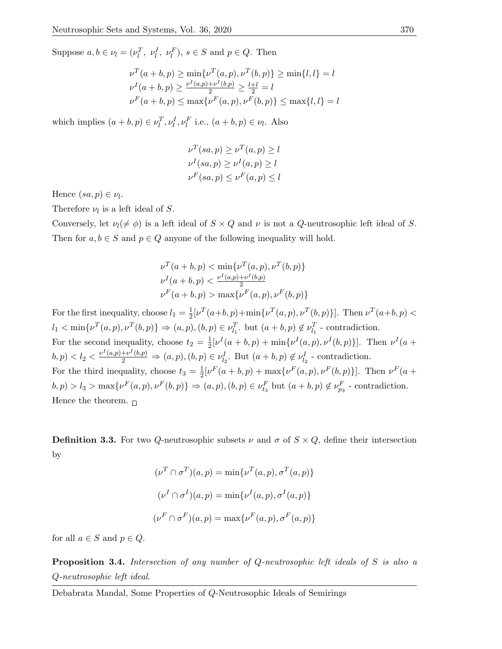Suppose  $a, b \in \nu_l = (\nu_l^T, \nu_l^I, \nu_l^F), s \in S$  and  $p \in Q$ . Then

$$
\nu^T(a+b,p) \ge \min{\nu^T(a,p), \nu^T(b,p)} \ge \min{\{l, l\}} = l
$$
  

$$
\nu^I(a+b,p) \ge \frac{\nu^I(a,p)+\nu^I(b,p)}{2} \ge \frac{l+1}{2} = l
$$
  

$$
\nu^F(a+b,p) \le \max{\nu^F(a,p), \nu^F(b,p)} \le \max{\{l, l\}} = l
$$

which implies  $(a + b, p) \in \nu_l^T, \nu_l^I, \nu_l^F$  i.e.,  $(a + b, p) \in \nu_l$ . Also

$$
\nu^T(sa, p) \ge \nu^T(a, p) \ge l
$$
  

$$
\nu^I(sa, p) \ge \nu^I(a, p) \ge l
$$
  

$$
\nu^F(sa, p) \le \nu^F(a, p) \le l
$$

Hence  $(sa, p) \in \nu_l$ .

Therefore  $\nu_l$  is a left ideal of S.

Conversely, let  $\nu_l(\neq \phi)$  is a left ideal of  $S \times Q$  and  $\nu$  is not a Q-neutrosophic left ideal of S. Then for  $a, b \in S$  and  $p \in Q$  anyone of the following inequality will hold.

$$
\nu^T(a+b,p) < \min\{\nu^T(a,p), \nu^T(b,p)\}
$$
\n
$$
\nu^I(a+b,p) < \frac{\nu^I(a,p)+\nu^I(b,p)}{2}
$$
\n
$$
\nu^F(a+b,p) > \max\{\nu^F(a,p), \nu^F(b,p)\}
$$

For the first inequality, choose  $l_1 = \frac{1}{2}$  $\frac{1}{2}[\nu^T(a+b,p)+\min{\{\nu^T(a,p),\nu^T(b,p)\}}]$ . Then  $\nu^T(a+b,p)$  $l_1 < \min\{\nu^T(a, p), \nu^T(b, p)\}\Rightarrow (a, p), (b, p) \in \nu_{l_1}^T$ . but  $(a + b, p) \notin \nu_{l_1}^T$  - contradiction. For the second inequality, choose  $t_2 = \frac{1}{2}$  $\frac{1}{2}[\nu^I(a+b,p) + \min{\{\nu^I(a,p), \nu^I(b,p)\}}]$ . Then  $\nu^I(a+b,p)$  $(b, p) < l_2 < \frac{\nu^I(a, p) + \nu^I(b, p)}{2} \Rightarrow (a, p), (b, p) \in \nu_{l_2}^I$ . But  $(a + b, p) \notin \nu_{l_2}^I$  - contradiction. For the third inequality, choose  $t_3 = \frac{1}{2}$  $\frac{1}{2}[\nu^F(a+b,p) + \max{\{\nu^F(a,p), \nu^F(b,p)\}}]$ . Then  $\nu^F(a+b,p)$  $b, p) > l_3 > \max\{\nu^F(a, p), \nu^F(b, p)\}\Rightarrow (a, p), (b, p) \in \nu_{t_3}^F$  but  $(a + b, p) \notin \nu_{p_3}^F$  - contradiction. Hence the theorem.  $\Box$ 

**Definition 3.3.** For two Q-neutrosophic subsets  $\nu$  and  $\sigma$  of  $S \times Q$ , define their intersection by

$$
(\nu^T \cap \sigma^T)(a, p) = \min{\{\nu^T(a, p), \sigma^T(a, p)\}}
$$

$$
(\nu^I \cap \sigma^I)(a, p) = \min{\{\nu^I(a, p), \sigma^I(a, p)\}}
$$

$$
(\nu^F \cap \sigma^F)(a, p) = \max{\{\nu^F(a, p), \sigma^F(a, p)\}}
$$

for all  $a \in S$  and  $p \in Q$ .

**Proposition 3.4.** Intersection of any number of  $Q$ -neutrosophic left ideals of S is also a Q-neutrosophic left ideal.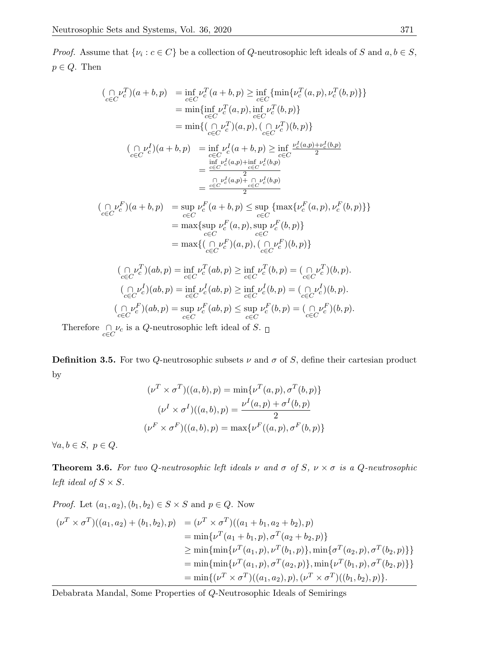*Proof.* Assume that  $\{\nu_i : c \in C\}$  be a collection of Q-neutrosophic left ideals of S and  $a, b \in S$ ,  $p \in Q$ . Then

$$
\begin{array}{rcl}\n(\bigcap\limits_{c\in C} \nu_c^T)(a+b,p) & = \inf\limits_{c\in C} \nu_c^T(a+b,p) \ge \inf\limits_{c\in C} \{\min\{ \nu_c^T(a,p), \nu_c^T(b,p) \} \} \\
& = \min\{ \inf\limits_{c\in C} \nu_c^T(a,p), \inf\limits_{c\in C} \nu_c^T(b,p) \} \\
& = \min\{ (\bigcap\limits_{c\in C} \nu_c^T)(a,p), (\bigcap\limits_{c\in C} \nu_c^T)(b,p) \} \\
(\bigcap\limits_{c\in C} \nu_c^I)(a+b,p) & = \inf\limits_{c\in C} \nu_c^I(a+b,p) \ge \inf\limits_{c\in C} \frac{\nu_c^I(a,p)+\nu_c^I(b,p)}{2} \\
& = \frac{\inf\limits_{c\in C} \nu_c^I(a,p)+\inf\limits_{c\in C} \nu_c^I(b,p)}{2} \\
& = \frac{\frac{\sum\limits_{c\in C} \nu_c^I(a,p)+\sum\limits_{c\in C} \nu_c^I(b,p)}{2}}{2} \\
(\bigcap\limits_{c\in C} \nu_c^F)(a+b,p) & = \sup\limits_{c\in C} \nu_c^F(a+b,p) \le \sup\limits_{c\in C} \{\max\{ \nu_c^F(a,p), \nu_c^F(b,p) \} \} \\
& = \max\{\sup\limits_{c\in C} \nu_c^F(a,p), \sup\limits_{c\in C} \nu_c^F(b,p)\} \\
& = \max\{ (\bigcap\limits_{c\in C} \nu_c^F)(a,p), (\bigcap\limits_{c\in C} \nu_c^F)(b,p) \} \\
(\bigcap\limits_{c\in C} \nu_c^T)(ab,p) & = \inf\limits_{c\in C} \nu_c^T(ab,p) \ge \inf\limits_{c\in C} \nu_c^T(b,p) = (\bigcap\limits_{c\in C} \nu_c^I)(b,p). \\
(\bigcap\limits_{c\in C} \nu_c^I)(ab,p) & = \inf\limits_{c\in C} \nu_c^I(ab,p) \ge \inf\limits_{c\in C} \nu_c^I(b,p) = (\bigcap\limits_{c\in C} \nu_c^I)(b,p).\n\end{array}
$$

$$
(\underset{c \in C}{\cap} \nu_c^F)(ab, p) = \sup_{c \in C} \nu_c^F(ab, p) \le \sup_{c \in C} \nu_c^F(b, p) = (\underset{c \in C}{\cap} \nu_c^F)(b, p).
$$

Therefore  $\bigcap_{c \in C} \nu_c$  is a Q-neutrosophic left ideal of S.

**Definition 3.5.** For two Q-neutrosophic subsets  $\nu$  and  $\sigma$  of S, define their cartesian product by

$$
(\nu^T \times \sigma^T)((a, b), p) = \min{\{\nu^T(a, p), \sigma^T(b, p)\}}
$$

$$
(\nu^I \times \sigma^I)((a, b), p) = \frac{\nu^I(a, p) + \sigma^I(b, p)}{2}
$$

$$
(\nu^F \times \sigma^F)((a, b), p) = \max{\{\nu^F((a, p), \sigma^F(b, p)\}}
$$

 $\forall a, b \in S, p \in Q.$ 

<span id="page-3-0"></span>**Theorem 3.6.** For two Q-neutrosophic left ideals  $\nu$  and  $\sigma$  of  $S$ ,  $\nu \times \sigma$  is a Q-neutrosophic left ideal of  $S \times S$ .

*Proof.* Let 
$$
(a_1, a_2), (b_1, b_2) \in S \times S
$$
 and  $p \in Q$ . Now  
\n
$$
(\nu^T \times \sigma^T)((a_1, a_2) + (b_1, b_2), p) = (\nu^T \times \sigma^T)((a_1 + b_1, a_2 + b_2), p)
$$
\n
$$
= \min{\{\nu^T(a_1 + b_1, p), \sigma^T(a_2 + b_2, p)\}}
$$
\n
$$
\geq \min{\{\min{\{\nu^T(a_1, p), \nu^T(b_1, p)\}, \min{\{\sigma^T(a_2, p), \sigma^T(b_2, p)\}\}}\}}
$$
\n
$$
= \min{\{\min{\{\nu^T(a_1, p), \sigma^T(a_2, p)\}, \min{\{\nu^T(b_1, p), \sigma^T(b_2, p)\}}\}}
$$
\n
$$
= \min{\{\nu^T \times \sigma^T)((a_1, a_2), p), (\nu^T \times \sigma^T)((b_1, b_2), p)\}}.
$$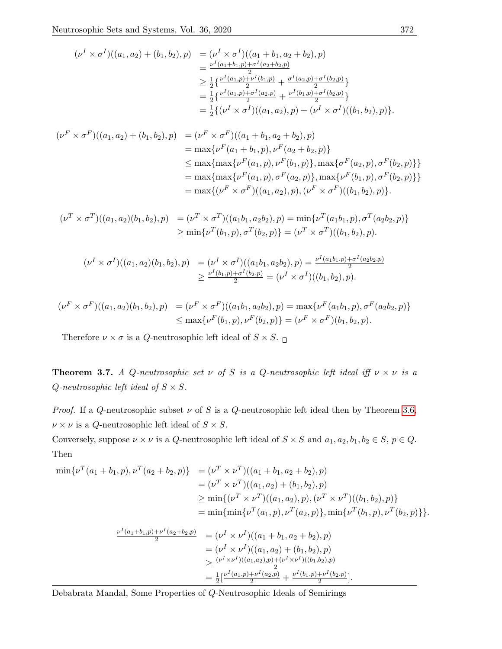$$
(\nu^I \times \sigma^I)((a_1, a_2) + (b_1, b_2), p) = (\nu^I \times \sigma^I)((a_1 + b_1, a_2 + b_2), p)
$$
  
\n
$$
= \frac{\nu^I(a_1 + b_1, p) + \sigma^I(a_2 + b_2, p)}{2}
$$
  
\n
$$
\geq \frac{1}{2} \{ \frac{\nu^I(a_1, p) + \nu^I(b_1, p)}{2} + \frac{\sigma^I(a_2, p) + \sigma^I(b_2, p)}{2} \}
$$
  
\n
$$
= \frac{1}{2} \{ \frac{\nu^I(a_1, p) + \sigma^I(a_2, p)}{2} + \frac{\nu^I(b_1, p) + \sigma^I(b_2, p)}{2} \}
$$
  
\n
$$
= \frac{1}{2} \{ (\nu^I \times \sigma^I)((a_1, a_2), p) + (\nu^I \times \sigma^I)((b_1, b_2), p) \}.
$$

$$
(\nu^F \times \sigma^F)((a_1, a_2) + (b_1, b_2), p) = (\nu^F \times \sigma^F)((a_1 + b_1, a_2 + b_2), p)
$$
  
\n
$$
= \max{\{\nu^F(a_1 + b_1, p), \nu^F(a_2 + b_2, p)\}}
$$
  
\n
$$
\leq \max{\{\max{\{\nu^F(a_1, p), \nu^F(b_1, p)\}, \max{\{\sigma^F(a_2, p), \sigma^F(b_2, p)\}\}}\}}
$$
  
\n
$$
= \max{\{\max{\{\nu^F(a_1, p), \sigma^F(a_2, p)\}, \max{\{\nu^F(b_1, p), \sigma^F(b_2, p)\}}\}}
$$
  
\n
$$
= \max{\{\nu^F \times \sigma^F)((a_1, a_2), p), (\nu^F \times \sigma^F)((b_1, b_2), p)\}}.
$$

$$
(\nu^T \times \sigma^T)((a_1, a_2)(b_1, b_2), p) = (\nu^T \times \sigma^T)((a_1b_1, a_2b_2), p) = \min{\{\nu^T(a_1b_1, p), \sigma^T(a_2b_2, p)\}}
$$
  
\n
$$
\geq \min{\{\nu^T(b_1, p), \sigma^T(b_2, p)\}} = (\nu^T \times \sigma^T)((b_1, b_2), p).
$$

$$
(\nu^I \times \sigma^I)((a_1, a_2)(b_1, b_2), p) = (\nu^I \times \sigma^I)((a_1b_1, a_2b_2), p) = \frac{\nu^I(a_1b_1, p) + \sigma^I(a_2b_2, p)}{2}
$$
  
 
$$
\geq \frac{\nu^I(b_1, p) + \sigma^I(b_2, p)}{2} = (\nu^I \times \sigma^I)((b_1, b_2), p).
$$

$$
(\nu^F \times \sigma^F)((a_1, a_2)(b_1, b_2), p) = (\nu^F \times \sigma^F)((a_1b_1, a_2b_2), p) = \max{\{\nu^F(a_1b_1, p), \sigma^F(a_2b_2, p)\}} \le \max{\{\nu^F(b_1, p), \nu^F(b_2, p)\}} = (\nu^F \times \sigma^F)(b_1, b_2, p).
$$

Therefore  $\nu \times \sigma$  is a Q-neutrosophic left ideal of  $S \times S$ .

**Theorem 3.7.** A Q-neutrosophic set  $\nu$  of S is a Q-neutrosophic left ideal iff  $\nu \times \nu$  is a  $Q$ -neutrosophic left ideal of  $S \times S$ .

*Proof.* If a Q-neutrosophic subset  $\nu$  of S is a Q-neutrosophic left ideal then by Theorem [3.6,](#page-3-0)  $\nu \times \nu$  is a *Q*-neutrosophic left ideal of  $S \times S$ .

Conversely, suppose  $\nu \times \nu$  is a Q-neutrosophic left ideal of  $S \times S$  and  $a_1, a_2, b_1, b_2 \in S$ ,  $p \in Q$ . Then

$$
\min \{\nu^{T}(a_{1}+b_{1},p),\nu^{T}(a_{2}+b_{2},p)\} = (\nu^{T} \times \nu^{T})((a_{1}+b_{1},a_{2}+b_{2}),p)
$$
  
\n
$$
= (\nu^{T} \times \nu^{T})((a_{1},a_{2})+(b_{1},b_{2}),p)
$$
  
\n
$$
\geq \min \{(\nu^{T} \times \nu^{T})((a_{1},a_{2}),p),(\nu^{T} \times \nu^{T})((b_{1},b_{2}),p)\}
$$
  
\n
$$
= \min \{\min \{\nu^{T}(a_{1},p),\nu^{T}(a_{2},p)\},\min \{\nu^{T}(b_{1},p),\nu^{T}(b_{2},p)\}\}.
$$
  
\n
$$
\frac{\nu^{I}(a_{1}+b_{1},p)+\nu^{I}(a_{2}+b_{2},p)}{2} = (\nu^{I} \times \nu^{I})((a_{1}+b_{1},a_{2}+b_{2}),p)
$$
  
\n
$$
= (\nu^{I} \times \nu^{I})((a_{1},a_{2})+(b_{1},b_{2}),p)
$$
  
\n
$$
\geq \frac{(\nu^{I} \times \nu^{I})((a_{1},a_{2}),p)+(\nu^{I} \times \nu^{I})((b_{1},b_{2}),p)}{2}
$$

 $\frac{1}{2} \left[ \frac{\nu^I(a_1, p) + \nu^I(a_2, p)}{2} + \frac{\nu^I(b_1, p) + \nu^I(b_2, p)}{2} \right]$ 

 $\frac{+\nu^-(v_2,p)}{2}$ .

Debabrata Mandal, Some Properties of Q-Neutrosophic Ideals of Semirings

 $=\frac{1}{2}$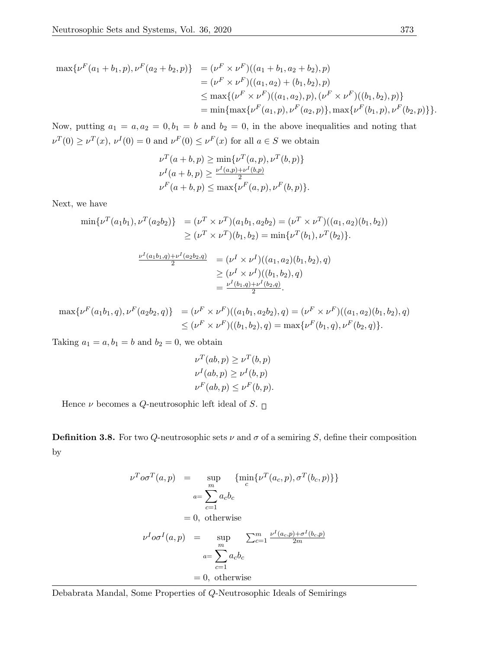$$
\max \{\nu^{F}(a_1 + b_1, p), \nu^{F}(a_2 + b_2, p)\} = (\nu^{F} \times \nu^{F})((a_1 + b_1, a_2 + b_2), p)
$$
  
\n
$$
= (\nu^{F} \times \nu^{F})((a_1, a_2) + (b_1, b_2), p)
$$
  
\n
$$
\leq \max \{ (\nu^{F} \times \nu^{F})((a_1, a_2), p), (\nu^{F} \times \nu^{F})((b_1, b_2), p) \}
$$
  
\n
$$
= \min \{ \max \{ \nu^{F}(a_1, p), \nu^{F}(a_2, p) \}, \max \{ \nu^{F}(b_1, p), \nu^{F}(b_2, p) \} \}.
$$

Now, putting  $a_1 = a, a_2 = 0, b_1 = b$  and  $b_2 = 0$ , in the above inequalities and noting that  $\nu^T(0) \geq \nu^T(x)$ ,  $\nu^I(0) = 0$  and  $\nu^F(0) \leq \nu^F(x)$  for all  $a \in S$  we obtain

$$
\nu^T(a+b,p) \ge \min{\nu^T(a,p), \nu^T(b,p)}
$$
  

$$
\nu^I(a+b,p) \ge \frac{\nu^I(a,p)+\nu^I(b,p)}{2}
$$
  

$$
\nu^F(a+b,p) \le \max{\nu^F(a,p), \nu^F(b,p)}.
$$

Next, we have

$$
\min \{\nu^T(a_1b_1), \nu^T(a_2b_2)\} = (\nu^T \times \nu^T)(a_1b_1, a_2b_2) = (\nu^T \times \nu^T)((a_1, a_2)(b_1, b_2))
$$
  
\n
$$
\geq (\nu^T \times \nu^T)(b_1, b_2) = \min \{\nu^T(b_1), \nu^T(b_2)\}.
$$

$$
\frac{\nu^I(a_1b_1,q)+\nu^I(a_2b_2,q)}{2} = (\nu^I \times \nu^I)((a_1,a_2)(b_1,b_2),q)
$$
  
\n
$$
\geq (\nu^I \times \nu^I)((b_1,b_2),q)
$$
  
\n
$$
= \frac{\nu^I(b_1,q)+\nu^I(b_2,q)}{2}.
$$

 $\max\{\nu^F(a_1b_1,q),\nu^F(a_2b_2,q)\}$  =  $(\nu^F \times \nu^F)((a_1b_1,a_2b_2),q) = (\nu^F \times \nu^F)((a_1,a_2)(b_1,b_2),q)$  $\leq (\nu^F \times \nu^F)((b_1, b_2), q) = \max{\{\nu^F(b_1, q), \nu^F(b_2, q)\}}.$ 

Taking  $a_1 = a, b_1 = b$  and  $b_2 = 0$ , we obtain

$$
\nu^T(ab, p) \ge \nu^T(b, p)
$$
  

$$
\nu^I(ab, p) \ge \nu^I(b, p)
$$
  

$$
\nu^F(ab, p) \le \nu^F(b, p).
$$

Hence  $\nu$  becomes a *Q*-neutrosophic left ideal of *S*.  $\Box$ 

**Definition 3.8.** For two Q-neutrosophic sets  $\nu$  and  $\sigma$  of a semiring S, define their composition by

$$
\nu^T o \sigma^T(a, p) = \sup_m \{ \min_c \{ \nu^T(a_c, p), \sigma^T(b_c, p) \} \}
$$
  
\n
$$
a = \sum_{c=1}^m a_c b_c
$$
  
\n
$$
= 0, \text{ otherwise}
$$
  
\n
$$
\nu^I o \sigma^I(a, p) = \sup_m \sum_{c=1}^m \frac{\nu^I(a_c, p) + \sigma^I(b_c, p)}{2m}
$$
  
\n
$$
= \sum_{c=1}^m a_c b_c
$$
  
\n
$$
= 0, \text{ otherwise}
$$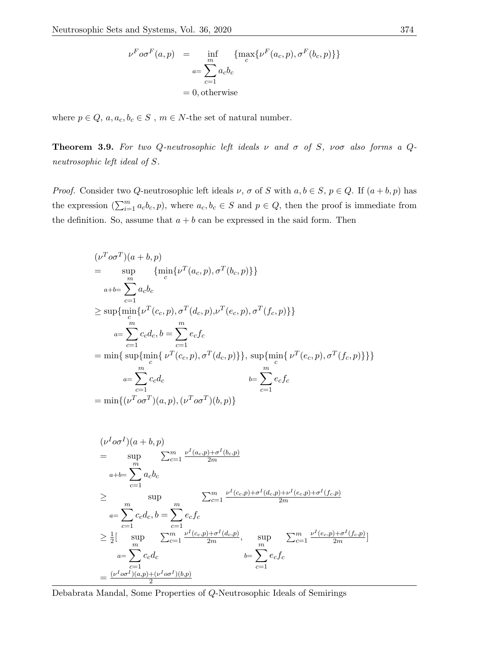$$
\nu^F \circ \sigma^F(a, p) = \inf_{\substack{m \\ a = \sum_{c=1}^m a_c b_c}} \{ \max_c \{ \nu^F(a_c, p), \sigma^F(b_c, p) \} \}
$$

$$
= 0, \text{otherwise}
$$

where  $p \in Q, \, a, a_c, b_c \in S$  ,  $m \in N\mbox{-}$  the set of natural number.

**Theorem 3.9.** For two Q-neutrosophic left ideals  $\nu$  and  $\sigma$  of S,  $\nu$  of also forms a Qneutrosophic left ideal of S.

*Proof.* Consider two Q-neutrosophic left ideals  $\nu$ ,  $\sigma$  of S with  $a, b \in S$ ,  $p \in Q$ . If  $(a + b, p)$  has the expression  $(\sum_{i=1}^m a_c b_c, p)$ , where  $a_c, b_c \in S$  and  $p \in Q$ , then the proof is immediate from the definition. So, assume that  $a + b$  can be expressed in the said form. Then

$$
(\nu^T o \sigma^T)(a + b, p)
$$
  
= 
$$
\sup_{m} {\min_{c} {\nu^T(a_c, p), \sigma^T(b_c, p)} }
$$
  

$$
a+b = \sum_{c=1}^{m} a_c b_c
$$
  

$$
\geq \sup \{ \min_{c} {\nu^T(c_c, p), \sigma^T(d_c, p), \nu^T(e_c, p), \sigma^T(f_c, p) } \}
$$
  

$$
a = \sum_{c=1}^{m} c_c d_c, b = \sum_{c=1}^{m} e_c f_c
$$
  
= 
$$
\min \{ \sup_{c} {\min_{c} {\nu^T(c_c, p), \sigma^T(d_c, p)} }, \sup_{c} {\min_{c} {\nu^T(e_c, p), \sigma^T(f_c, p)} } \}
$$
  

$$
a = \sum_{c=1}^{m} c_c d_c \qquad b = \sum_{c=1}^{m} e_c f_c
$$
  
= 
$$
\min \{ (\nu^T o \sigma^T)(a, p), (\nu^T o \sigma^T)(b, p) \}
$$

$$
(\nu^{I}o\sigma^{I})(a+b,p)
$$
  
=  $\sup_{m}$   $\sum_{c=1}^{m} \frac{\nu^{I}(a_{c},p)+\sigma^{I}(b_{c},p)}{2m}$   
=  $\sup_{a+b=\sum_{c=1}^{m} a_{c}b_{c}$   
 $\ge$   $\sup_{a=\sum_{c=1}^{m} c_{c}d_{c}, b=\sum_{c=1}^{m} e_{c}f_{c}$   
 $\ge \frac{1}{2}$ [  $\sup_{m}$   $\sum_{c=1}^{m} \frac{\nu^{I}(c_{c},p)+\sigma^{I}(d_{c},p)+\nu^{I}(e_{c},p)+\sigma^{I}(f_{c},p)}{2m}$   
 $a=\sum_{c=1}^{m} c_{c}d_{c}$   $\ge \frac{1}{2}$ [  $\sup_{m}$   $\sum_{c=1}^{m} \frac{\nu^{I}(c_{c},p)+\sigma^{I}(d_{c},p)}{2m}, \sup_{m}$   $\sum_{c=1}^{m} \frac{\nu^{I}(e_{c},p)+\sigma^{I}(f_{c},p)}{2m}]$   
 $= \sum_{c=1}^{m} c_{c}d_{c}$   $b=\sum_{c=1}^{m} e_{c}f_{c}$   
=  $\frac{(\nu^{I}o\sigma^{I})(a,p)+(\nu^{I}o\sigma^{I})(b,p)}{2}$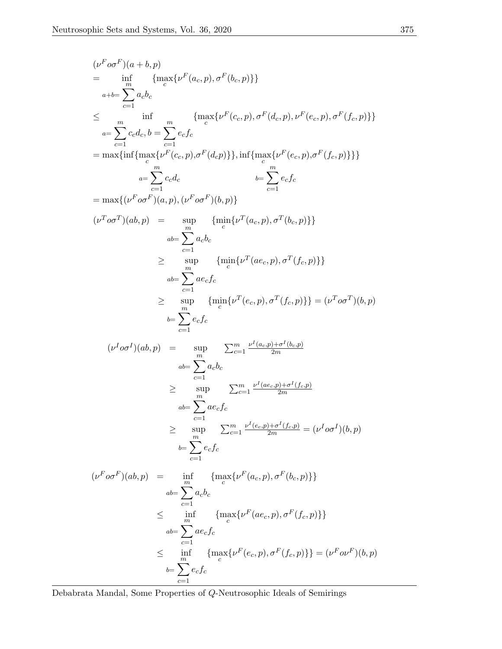$$
(\nu^F \sigma F)(a+b,p)
$$
\n
$$
= \inf_{\substack{m \text{odd } c}} {\max_{c \in C} {\{\nu^F(a_c, p), \sigma^F(b_c, p)\}}}
$$
\n
$$
\leq \inf_{a+b=\sum_{c=1}^{m} a_c b_c
$$
\n
$$
\leq \inf_{a-\sum_{c=1}^{m} c_c d_c, b=\sum_{c=1}^{m} e_c f_c
$$
\n
$$
= \max\{ \inf \{\max_{c} {\{\nu^F(c_c, p), \sigma^F(d_c p)\}} \}, \inf \{\max_{c} {\{\nu^F(e_c, p), \sigma^F(f_c, p)\}} \} \}
$$
\n
$$
= \max\{ \inf_{c=1} {\max_{c} {\{\nu^F \sigma^F(a,p), \sigma^F(a,p)\}} \}, \inf \{\max_{c} {\{\nu^F(e_c, p), \sigma^F(f_c, p)\}} \} \}
$$
\n
$$
= \max\{ (\nu^F \sigma \sigma^F)(a, p), (\nu^F \sigma \sigma^F)(b, p) \}
$$
\n
$$
= \sum_{c=1}^{m} a_c b_c
$$
\n
$$
\geq \sup_{\substack{m \text{odd } c}} {\min_{c} {\{\nu^T(a_c, p), \sigma^T(b_c, p)\}} \}
$$
\n
$$
= \sum_{c=1}^{m} a_c f_c
$$
\n
$$
\geq \sup_{c=1} {\min_{c} {\{\nu^T(a_c, p), \sigma^T(f_c, p)\}} \}
$$
\n
$$
= \sum_{c=1}^{m} a_c f_c
$$
\n
$$
= \sum_{c=1}^{m} e_c f_c
$$
\n
$$
= \sum_{c=1}^{m} e_c f_c
$$
\n
$$
= \sum_{c=1}^{m} a_c f_c
$$
\n
$$
= \sum_{c=1}^{m} a_c f_c
$$
\n
$$
= \sum_{c=1}^{m} a_c f_c
$$
\n
$$
= \sum_{c=1}^{m} a_c f_c
$$
\n
$$
= \sum_{c=1}^{m} a_c f_c
$$
\n
$$
= \sum_{c=1}^{m} a_c f_c
$$
\n
$$
= \sum_{c=1}^{m} a_c f_c
$$
\n
$$
= \sum_{c=1}
$$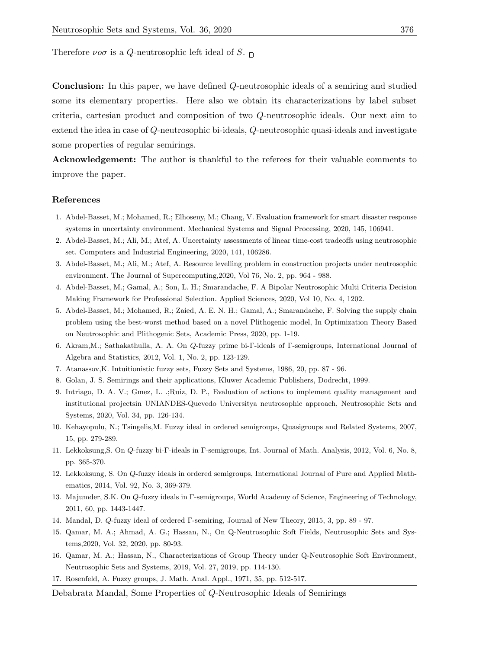Therefore  $\nu$ o $\sigma$  is a Q-neutrosophic left ideal of S.  $\Box$ 

Conclusion: In this paper, we have defined Q-neutrosophic ideals of a semiring and studied some its elementary properties. Here also we obtain its characterizations by label subset criteria, cartesian product and composition of two Q-neutrosophic ideals. Our next aim to extend the idea in case of Q-neutrosophic bi-ideals, Q-neutrosophic quasi-ideals and investigate some properties of regular semirings.

Acknowledgement: The author is thankful to the referees for their valuable comments to improve the paper.

#### References

- <span id="page-8-1"></span>1. Abdel-Basset, M.; Mohamed, R.; Elhoseny, M.; Chang, V. Evaluation framework for smart disaster response systems in uncertainty environment. Mechanical Systems and Signal Processing, 2020, 145, 106941.
- 2. Abdel-Basset, M.; Ali, M.; Atef, A. Uncertainty assessments of linear time-cost tradeoffs using neutrosophic set. Computers and Industrial Engineering, 2020, 141, 106286.
- 3. Abdel-Basset, M.; Ali, M.; Atef, A. Resource levelling problem in construction projects under neutrosophic environment. The Journal of Supercomputing,2020, Vol 76, No. 2, pp. 964 - 988.
- 4. Abdel-Basset, M.; Gamal, A.; Son, L. H.; Smarandache, F. A Bipolar Neutrosophic Multi Criteria Decision Making Framework for Professional Selection. Applied Sciences, 2020, Vol 10, No. 4, 1202.
- <span id="page-8-2"></span>5. Abdel-Basset, M.; Mohamed, R.; Zaied, A. E. N. H.; Gamal, A.; Smarandache, F. Solving the supply chain problem using the best-worst method based on a novel Plithogenic model, In Optimization Theory Based on Neutrosophic and Plithogenic Sets, Academic Press, 2020, pp. 1-19.
- <span id="page-8-5"></span>6. Akram,M.; Sathakathulla, A. A. On Q-fuzzy prime bi-Γ-ideals of Γ-semigroups, International Journal of Algebra and Statistics, 2012, Vol. 1, No. 2, pp. 123-129.
- <span id="page-8-0"></span>7. Atanassov,K. Intuitionistic fuzzy sets, Fuzzy Sets and Systems, 1986, 20, pp. 87 - 96.
- <span id="page-8-12"></span>8. Golan, J. S. Semirings and their applications, Kluwer Academic Publishers, Dodrecht, 1999.
- <span id="page-8-3"></span>9. Intriago, D. A. V.; Gmez, L. .;Ruiz, D. P., Evaluation of actions to implement quality management and institutional projectsin UNIANDES-Quevedo Universitya neutrosophic approach, Neutrosophic Sets and Systems, 2020, Vol. 34, pp. 126-134.
- <span id="page-8-11"></span>10. Kehayopulu, N.; Tsingelis,M. Fuzzy ideal in ordered semigroups, Quasigroups and Related Systems, 2007, 15, pp. 279-289.
- <span id="page-8-6"></span>11. Lekkoksung,S. On Q-fuzzy bi-Γ-ideals in Γ-semigroups, Int. Journal of Math. Analysis, 2012, Vol. 6, No. 8, pp. 365-370.
- <span id="page-8-7"></span>12. Lekkoksung, S. On Q-fuzzy ideals in ordered semigroups, International Journal of Pure and Applied Mathematics, 2014, Vol. 92, No. 3, 369-379.
- <span id="page-8-4"></span>13. Majumder, S.K. On Q-fuzzy ideals in Γ-semigroups, World Academy of Science, Engineering of Technology, 2011, 60, pp. 1443-1447.
- <span id="page-8-8"></span>14. Mandal, D. Q-fuzzy ideal of ordered Γ-semiring, Journal of New Theory, 2015, 3, pp. 89 - 97.
- <span id="page-8-9"></span>15. Qamar, M. A.; Ahmad, A. G.; Hassan, N., On Q-Neutrosophic Soft Fields, Neutrosophic Sets and Systems,2020, Vol. 32, 2020, pp. 80-93.
- <span id="page-8-10"></span>16. Qamar, M. A.; Hassan, N., Characterizations of Group Theory under Q-Neutrosophic Soft Environment, Neutrosophic Sets and Systems, 2019, Vol. 27, 2019, pp. 114-130.
- 17. Rosenfeld, A. Fuzzy groups, J. Math. Anal. Appl., 1971, 35, pp. 512-517.